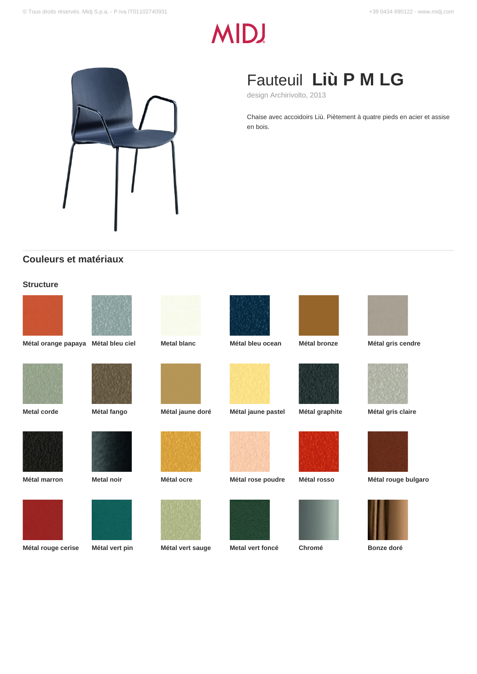# **MIDJ**



# Fauteuil **Liù P M LG**

design Archirivolto, 2013

Chaise avec accoidoirs Liù. Piètement à quatre pieds en acier et assise en bois.

# **Couleurs et matériaux**

## **Structure**





**Métal orange papaya Métal bleu ciel Metal blanc Métal bleu ocean Métal bronze Métal gris cendre**













### **Métal rouge cerise Métal vert pin Métal vert sauge Metal vert foncé Chromé Bonze doré**













**Metal corde Métal fango Métal jaune doré Métal jaune pastel Métal graphite Métal gris claire**



**Métal marron Metal noir Métal ocre Métal rose poudre Métal rosso Métal rouge bulgaro**







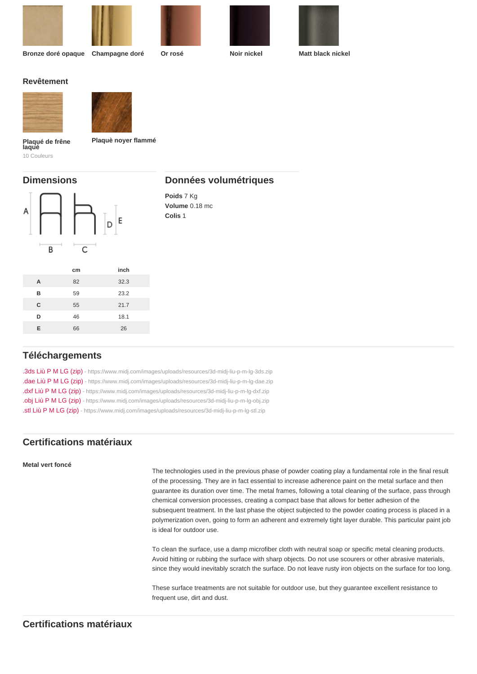Bronze doré opaque Champagne doré Or rosé Noir nickel Matt black nickel

Revêtement

Plaquè noyer flammé

Plaqué de frêne<br>laqué 10 Couleurs

# Dimensions

# Données volumétriques

Poids 7 Kg Volume 0.18 mc Colis 1

|   | cm | inch |
|---|----|------|
| A | 82 | 32.3 |
| B | 59 | 23.2 |
| C | 55 | 21.7 |
| D | 46 | 18.1 |
| E | 66 | 26   |
|   |    |      |

# Téléchargements

[.3ds Liù P M LG \(zip\)](https://www.midj.com/images/uploads/resources/3d-midj-liu-p-m-lg-3ds.zip) [- https://www.midj.com/images/uploads/resources/3d-midj-liu-p-m-lg-3ds.zip](https://www.midj.com/images/uploads/resources/3d-midj-liu-p-m-lg-3ds.zip) [.dae Liù P M LG \(zip\)](https://www.midj.com/images/uploads/resources/3d-midj-liu-p-m-lg-dae.zip) [- https://www.midj.com/images/uploads/resources/3d-midj-liu-p-m-lg-dae.zip](https://www.midj.com/images/uploads/resources/3d-midj-liu-p-m-lg-dae.zip) [.dxf Liù P M LG \(zip\)](https://www.midj.com/images/uploads/resources/3d-midj-liu-p-m-lg-dxf.zip) [- https://www.midj.com/images/uploads/resources/3d-midj-liu-p-m-lg-dxf.zip](https://www.midj.com/images/uploads/resources/3d-midj-liu-p-m-lg-dxf.zip) [.obj Liù P M LG \(zip\)](https://www.midj.com/images/uploads/resources/3d-midj-liu-p-m-lg-obj.zip) [- https://www.midj.com/images/uploads/resources/3d-midj-liu-p-m-lg-obj.zip](https://www.midj.com/images/uploads/resources/3d-midj-liu-p-m-lg-obj.zip) [.stl Liù P M LG \(zip\)](https://www.midj.com/images/uploads/resources/3d-midj-liu-p-m-lg-stl.zip) [- https://www.midj.com/images/uploads/resources/3d-midj-liu-p-m-lg-stl.zip](https://www.midj.com/images/uploads/resources/3d-midj-liu-p-m-lg-stl.zip)

# Certifications matériaux

# Metal vert foncé

The technologies used in the previous phase of powder coating play a fundamental role in the final result of the processing. They are in fact essential to increase adherence paint on the metal surface and then guarantee its duration over time. The metal frames, following a total cleaning of the surface, pass through chemical conversion processes, creating a compact base that allows for better adhesion of the subsequent treatment. In the last phase the object subjected to the powder coating process is placed in a polymerization oven, going to form an adherent and extremely tight layer durable. This particular paint job is ideal for outdoor use.

To clean the surface, use a damp microfiber cloth with neutral soap or specific metal cleaning products. Avoid hitting or rubbing the surface with sharp objects. Do not use scourers or other abrasive materials, since they would inevitably scratch the surface. Do not leave rusty iron objects on the surface for too long.

These surface treatments are not suitable for outdoor use, but they guarantee excellent resistance to frequent use, dirt and dust.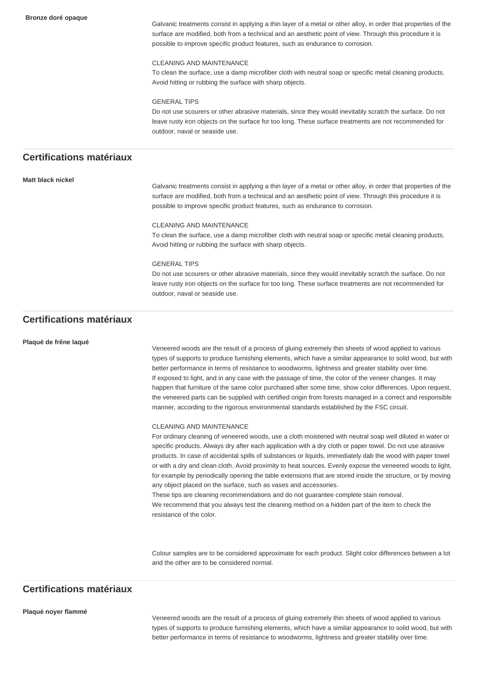Galvanic treatments consist in applying a thin layer of a metal or other alloy, in order that properties of the surface are modified, both from a technical and an aesthetic point of view. Through this procedure it is possible to improve specific product features, such as endurance to corrosion.

#### CLEANING AND MAINTENANCE

To clean the surface, use a damp microfiber cloth with neutral soap or specific metal cleaning products. Avoid hitting or rubbing the surface with sharp objects.

#### GENERAL TIPS

Do not use scourers or other abrasive materials, since they would inevitably scratch the surface. Do not leave rusty iron objects on the surface for too long. These surface treatments are not recommended for outdoor, naval or seaside use.

# **Certifications matériaux**

#### **Matt black nickel**

Galvanic treatments consist in applying a thin layer of a metal or other alloy, in order that properties of the surface are modified, both from a technical and an aesthetic point of view. Through this procedure it is possible to improve specific product features, such as endurance to corrosion.

#### CLEANING AND MAINTENANCE

To clean the surface, use a damp microfiber cloth with neutral soap or specific metal cleaning products. Avoid hitting or rubbing the surface with sharp objects.

#### GENERAL TIPS

Do not use scourers or other abrasive materials, since they would inevitably scratch the surface. Do not leave rusty iron objects on the surface for too long. These surface treatments are not recommended for outdoor, naval or seaside use.

# **Certifications matériaux**

#### **Plaqué de frêne laqué**

Veneered woods are the result of a process of gluing extremely thin sheets of wood applied to various types of supports to produce furnishing elements, which have a similar appearance to solid wood, but with better performance in terms of resistance to woodworms, lightness and greater stability over time. If exposed to light, and in any case with the passage of time, the color of the veneer changes. It may happen that furniture of the same color purchased after some time, show color differences. Upon request, the veneered parts can be supplied with certified origin from forests managed in a correct and responsible manner, according to the rigorous environmental standards established by the FSC circuit.

#### CLEANING AND MAINTENANCE

For ordinary cleaning of veneered woods, use a cloth moistened with neutral soap well diluted in water or specific products. Always dry after each application with a dry cloth or paper towel. Do not use abrasive products. In case of accidental spills of substances or liquids, immediately dab the wood with paper towel or with a dry and clean cloth. Avoid proximity to heat sources. Evenly expose the veneered woods to light, for example by periodically opening the table extensions that are stored inside the structure, or by moving any object placed on the surface, such as vases and accessories.

These tips are cleaning recommendations and do not guarantee complete stain removal. We recommend that you always test the cleaning method on a hidden part of the item to check the resistance of the color.

Colour samples are to be considered approximate for each product. Slight color differences between a lot and the other are to be considered normal.

# **Certifications matériaux**

#### **Plaquè noyer flammé**

Veneered woods are the result of a process of gluing extremely thin sheets of wood applied to various types of supports to produce furnishing elements, which have a similar appearance to solid wood, but with better performance in terms of resistance to woodworms, lightness and greater stability over time.